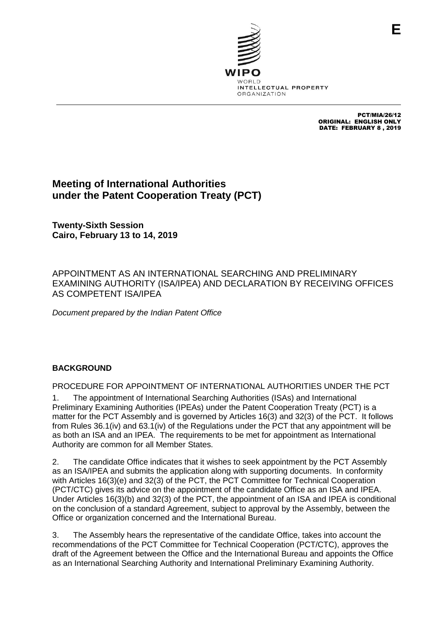

PCT/MIA/26/12 ORIGINAL: ENGLISH ONLY DATE: FEBRUARY 8 , 2019

## **Meeting of International Authorities under the Patent Cooperation Treaty (PCT)**

**Twenty-Sixth Session Cairo, February 13 to 14, 2019**

APPOINTMENT AS AN INTERNATIONAL SEARCHING AND PRELIMINARY EXAMINING AUTHORITY (ISA/IPEA) AND DECLARATION BY RECEIVING OFFICES AS COMPETENT ISA/IPEA

*Document prepared by the Indian Patent Office*

## **BACKGROUND**

PROCEDURE FOR APPOINTMENT OF INTERNATIONAL AUTHORITIES UNDER THE PCT

1. The appointment of International Searching Authorities (ISAs) and International Preliminary Examining Authorities (IPEAs) under the Patent Cooperation Treaty (PCT) is a matter for the PCT Assembly and is governed by Articles 16(3) and 32(3) of the PCT. It follows from Rules 36.1(iv) and 63.1(iv) of the Regulations under the PCT that any appointment will be as both an ISA and an IPEA. The requirements to be met for appointment as International Authority are common for all Member States.

2. The candidate Office indicates that it wishes to seek appointment by the PCT Assembly as an ISA/IPEA and submits the application along with supporting documents. In conformity with Articles 16(3)(e) and 32(3) of the PCT, the PCT Committee for Technical Cooperation (PCT/CTC) gives its advice on the appointment of the candidate Office as an ISA and IPEA. Under Articles 16(3)(b) and 32(3) of the PCT, the appointment of an ISA and IPEA is conditional on the conclusion of a standard Agreement, subject to approval by the Assembly, between the Office or organization concerned and the International Bureau.

3. The Assembly hears the representative of the candidate Office, takes into account the recommendations of the PCT Committee for Technical Cooperation (PCT/CTC), approves the draft of the Agreement between the Office and the International Bureau and appoints the Office as an International Searching Authority and International Preliminary Examining Authority.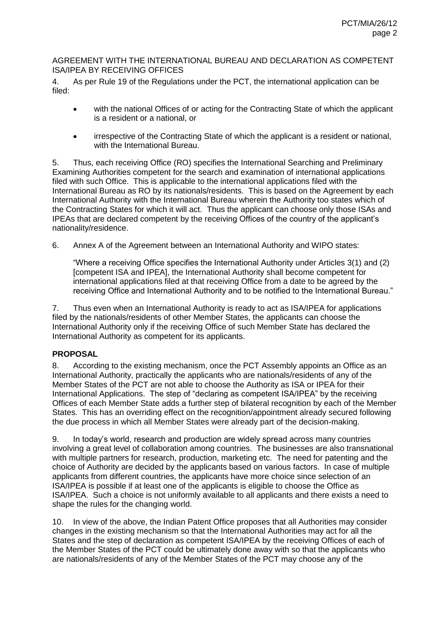## AGREEMENT WITH THE INTERNATIONAL BUREAU AND DECLARATION AS COMPETENT ISA/IPEA BY RECEIVING OFFICES

4. As per Rule 19 of the Regulations under the PCT, the international application can be filed:

- with the national Offices of or acting for the Contracting State of which the applicant is a resident or a national, or
- irrespective of the Contracting State of which the applicant is a resident or national, with the International Bureau.

5. Thus, each receiving Office (RO) specifies the International Searching and Preliminary Examining Authorities competent for the search and examination of international applications filed with such Office. This is applicable to the international applications filed with the International Bureau as RO by its nationals/residents. This is based on the Agreement by each International Authority with the International Bureau wherein the Authority too states which of the Contracting States for which it will act. Thus the applicant can choose only those ISAs and IPEAs that are declared competent by the receiving Offices of the country of the applicant's nationality/residence.

6. Annex A of the Agreement between an International Authority and WIPO states:

"Where a receiving Office specifies the International Authority under Articles 3(1) and (2) [competent ISA and IPEA], the International Authority shall become competent for international applications filed at that receiving Office from a date to be agreed by the receiving Office and International Authority and to be notified to the International Bureau."

7. Thus even when an International Authority is ready to act as ISA/IPEA for applications filed by the nationals/residents of other Member States, the applicants can choose the International Authority only if the receiving Office of such Member State has declared the International Authority as competent for its applicants.

## **PROPOSAL**

8. According to the existing mechanism, once the PCT Assembly appoints an Office as an International Authority, practically the applicants who are nationals/residents of any of the Member States of the PCT are not able to choose the Authority as ISA or IPEA for their International Applications. The step of "declaring as competent ISA/IPEA" by the receiving Offices of each Member State adds a further step of bilateral recognition by each of the Member States. This has an overriding effect on the recognition/appointment already secured following the due process in which all Member States were already part of the decision-making.

9. In today's world, research and production are widely spread across many countries involving a great level of collaboration among countries. The businesses are also transnational with multiple partners for research, production, marketing etc. The need for patenting and the choice of Authority are decided by the applicants based on various factors. In case of multiple applicants from different countries, the applicants have more choice since selection of an ISA/IPEA is possible if at least one of the applicants is eligible to choose the Office as ISA/IPEA. Such a choice is not uniformly available to all applicants and there exists a need to shape the rules for the changing world.

10. In view of the above, the Indian Patent Office proposes that all Authorities may consider changes in the existing mechanism so that the International Authorities may act for all the States and the step of declaration as competent ISA/IPEA by the receiving Offices of each of the Member States of the PCT could be ultimately done away with so that the applicants who are nationals/residents of any of the Member States of the PCT may choose any of the